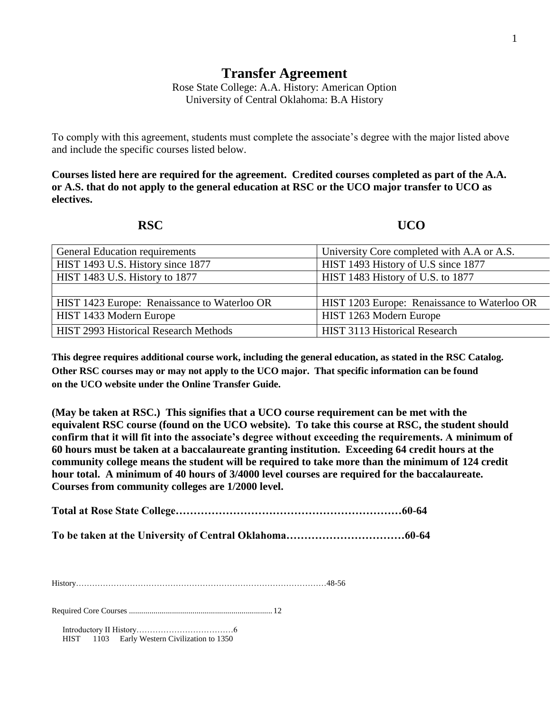## **Transfer Agreement**

Rose State College: A.A. History: American Option University of Central Oklahoma: B.A History

To comply with this agreement, students must complete the associate's degree with the major listed above and include the specific courses listed below.

**Courses listed here are required for the agreement. Credited courses completed as part of the A.A. or A.S. that do not apply to the general education at RSC or the UCO major transfer to UCO as electives.**

## **RSC UCO**

| General Education requirements               | University Core completed with A.A or A.S.   |
|----------------------------------------------|----------------------------------------------|
| HIST 1493 U.S. History since 1877            | HIST 1493 History of U.S since 1877          |
| HIST 1483 U.S. History to 1877               | HIST 1483 History of U.S. to 1877            |
|                                              |                                              |
| HIST 1423 Europe: Renaissance to Waterloo OR | HIST 1203 Europe: Renaissance to Waterloo OR |
| HIST 1433 Modern Europe                      | HIST 1263 Modern Europe                      |
| <b>HIST 2993 Historical Research Methods</b> | HIST 3113 Historical Research                |

**This degree requires additional course work, including the general education, as stated in the RSC Catalog. Other RSC courses may or may not apply to the UCO major. That specific information can be found on the UCO website under the Online Transfer Guide.**

**(May be taken at RSC.) This signifies that a UCO course requirement can be met with the equivalent RSC course (found on the UCO website). To take this course at RSC, the student should confirm that it will fit into the associate's degree without exceeding the requirements. A minimum of 60 hours must be taken at a baccalaureate granting institution. Exceeding 64 credit hours at the community college means the student will be required to take more than the minimum of 124 credit hour total. A minimum of 40 hours of 3/4000 level courses are required for the baccalaureate. Courses from community colleges are 1/2000 level.**

**Total at Rose State College………………………………………………………60-64**

**To be taken at the University of Central Oklahoma……………………………60-64**

History…………………………………………………………………………………48-56

Required Core Courses ...................................................................... 12

Introductory II History………………………………6 HIST 1103 Early Western Civilization to 1350